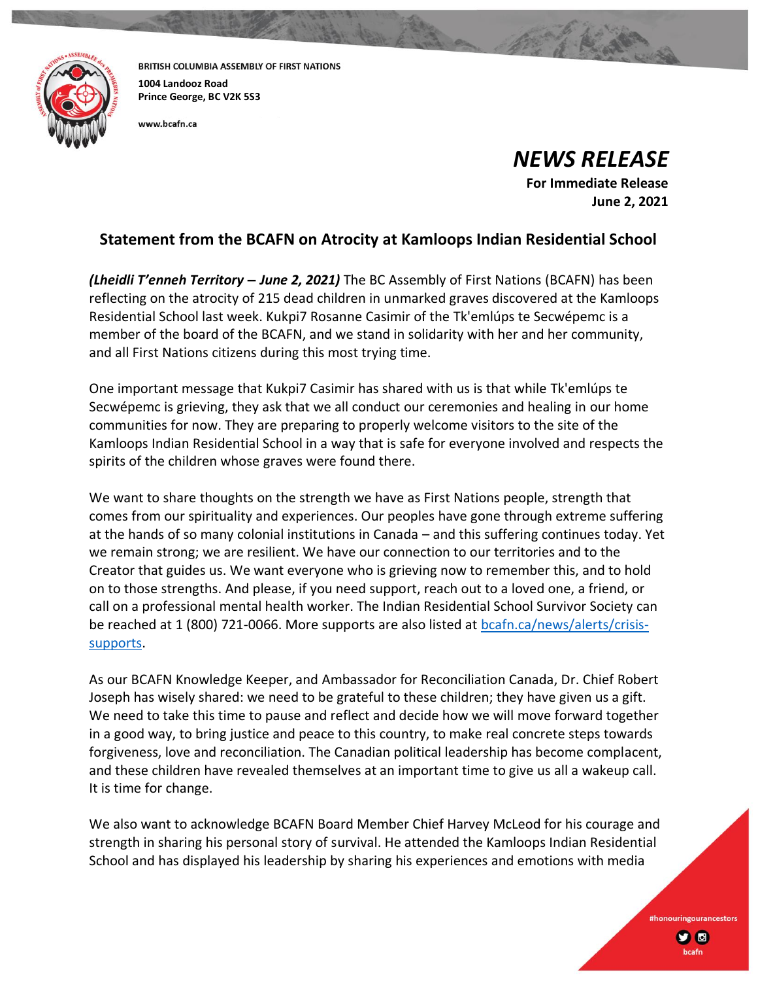

BRITISH COLUMBIA ASSEMBLY OF FIRST NATIONS **1004 Landooz Road Prince George, BC V2K 5S3**

www.bcafn.ca

*NEWS RELEASE*

**For Immediate Release June 2, 2021**

> #honouringourancestors **y** o

## **Statement from the BCAFN on Atrocity at Kamloops Indian Residential School**

*(Lheidli T'enneh Territory – June 2, 2021)* The BC Assembly of First Nations (BCAFN) has been reflecting on the atrocity of 215 dead children in unmarked graves discovered at the Kamloops Residential School last week. Kukpi7 Rosanne Casimir of the Tk'emlúps te Secwépemc is a member of the board of the BCAFN, and we stand in solidarity with her and her community, and all First Nations citizens during this most trying time.

One important message that Kukpi7 Casimir has shared with us is that while Tk'emlúps te Secwépemc is grieving, they ask that we all conduct our ceremonies and healing in our home communities for now. They are preparing to properly welcome visitors to the site of the Kamloops Indian Residential School in a way that is safe for everyone involved and respects the spirits of the children whose graves were found there.

We want to share thoughts on the strength we have as First Nations people, strength that comes from our spirituality and experiences. Our peoples have gone through extreme suffering at the hands of so many colonial institutions in Canada – and this suffering continues today. Yet we remain strong; we are resilient. We have our connection to our territories and to the Creator that guides us. We want everyone who is grieving now to remember this, and to hold on to those strengths. And please, if you need support, reach out to a loved one, a friend, or call on a professional mental health worker. The Indian Residential School Survivor Society can be reached at 1 (800) 721-0066. More supports are also listed at **bcafn.ca/news/alerts/crisis**[supports.](https://www.bcafn.ca/news/alerts/crisis-supports)

As our BCAFN Knowledge Keeper, and Ambassador for Reconciliation Canada, Dr. Chief Robert Joseph has wisely shared: we need to be grateful to these children; they have given us a gift. We need to take this time to pause and reflect and decide how we will move forward together in a good way, to bring justice and peace to this country, to make real concrete steps towards forgiveness, love and reconciliation. The Canadian political leadership has become complacent, and these children have revealed themselves at an important time to give us all a wakeup call. It is time for change.

We also want to acknowledge BCAFN Board Member Chief Harvey McLeod for his courage and strength in sharing his personal story of survival. He attended the Kamloops Indian Residential School and has displayed his leadership by sharing his experiences and emotions with media